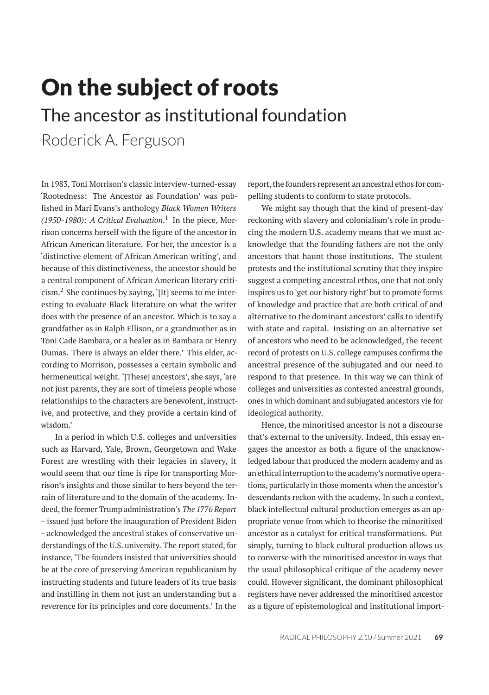# On the subject of roots The ancestor as institutional foundation

Roderick A. Ferguson

In 1983, Toni Morrison's classic interview-turned-essay 'Rootedness: The Ancestor as Foundation' was published in Mari Evans's anthology *Black Women Writers (1950-1980): A Critical Evaluation*. 1 In the piece, Morrison concerns herself with the figure of the ancestor in African American literature. For her, the ancestor is a 'distinctive element of African American writing', and because of this distinctiveness, the ancestor should be a central component of African American literary criti $c$ ism. $^2$  She continues by saying, '[It] seems to me interesting to evaluate Black literature on what the writer does with the presence of an ancestor. Which is to say a grandfather as in Ralph Ellison, or a grandmother as in Toni Cade Bambara, or a healer as in Bambara or Henry Dumas. There is always an elder there.' This elder, according to Morrison, possesses a certain symbolic and hermeneutical weight. '[These] ancestors', she says, 'are not just parents, they are sort of timeless people whose relationships to the characters are benevolent, instructive, and protective, and they provide a certain kind of wisdom.'

In a period in which U.S. colleges and universities such as Harvard, Yale, Brown, Georgetown and Wake Forest are wrestling with their legacies in slavery, it would seem that our time is ripe for transporting Morrison's insights and those similar to hers beyond the terrain of literature and to the domain of the academy. Indeed, the former Trump administration's *The 1776 Report* – issued just before the inauguration of President Biden – acknowledged the ancestral stakes of conservative understandings of the U.S. university. The report stated, for instance, 'The founders insisted that universities should be at the core of preserving American republicanism by instructing students and future leaders of its true basis and instilling in them not just an understanding but a reverence for its principles and core documents.' In the

report, the founders represent an ancestral ethos for compelling students to conform to state protocols.

We might say though that the kind of present-day reckoning with slavery and colonialism's role in producing the modern U.S. academy means that we must acknowledge that the founding fathers are not the only ancestors that haunt those institutions. The student protests and the institutional scrutiny that they inspire suggest a competing ancestral ethos, one that not only inspires us to 'get our history right' but to promote forms of knowledge and practice that are both critical of and alternative to the dominant ancestors' calls to identify with state and capital. Insisting on an alternative set of ancestors who need to be acknowledged, the recent record of protests on U.S. college campuses confirms the ancestral presence of the subjugated and our need to respond to that presence. In this way we can think of colleges and universities as contested ancestral grounds, ones in which dominant and subjugated ancestors vie for ideological authority.

Hence, the minoritised ancestor is not a discourse that's external to the university. Indeed, this essay engages the ancestor as both a figure of the unacknowledged labour that produced the modern academy and as an ethical interruption to the academy's normative operations, particularly in those moments when the ancestor's descendants reckon with the academy. In such a context, black intellectual cultural production emerges as an appropriate venue from which to theorise the minoritised ancestor as a catalyst for critical transformations. Put simply, turning to black cultural production allows us to converse with the minoritised ancestor in ways that the usual philosophical critique of the academy never could. However significant, the dominant philosophical registers have never addressed the minoritised ancestor as a figure of epistemological and institutional import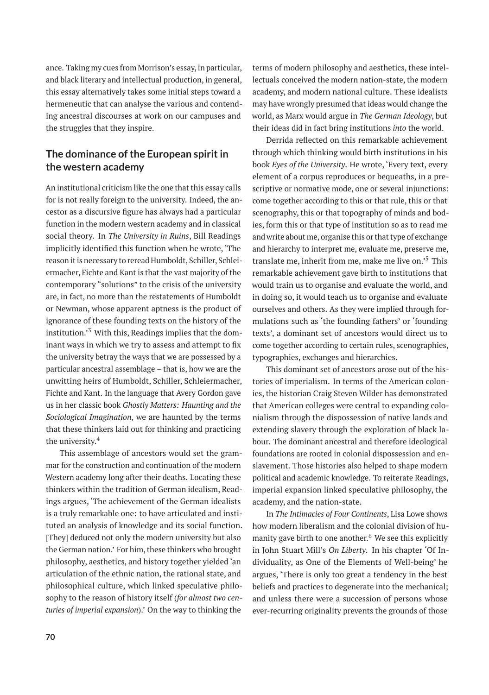ance. Taking my cues from Morrison's essay, in particular, and black literary and intellectual production, in general, this essay alternatively takes some initial steps toward a hermeneutic that can analyse the various and contending ancestral discourses at work on our campuses and the struggles that they inspire.

## **The dominance of the European spirit in the western academy**

An institutional criticism like the one that this essay calls for is not really foreign to the university. Indeed, the ancestor as a discursive figure has always had a particular function in the modern western academy and in classical social theory. In *The University in Ruins*, Bill Readings implicitly identified this function when he wrote, 'The reason it is necessary to reread Humboldt, Schiller, Schleiermacher, Fichte and Kant is that the vast majority of the contemporary "solutions" to the crisis of the university are, in fact, no more than the restatements of Humboldt or Newman, whose apparent aptness is the product of ignorance of these founding texts on the history of the institution.'<sup>3</sup> With this, Readings implies that the dominant ways in which we try to assess and attempt to fix the university betray the ways that we are possessed by a particular ancestral assemblage – that is, how we are the unwitting heirs of Humboldt, Schiller, Schleiermacher, Fichte and Kant. In the language that Avery Gordon gave us in her classic book *Ghostly Matters: Haunting and the Sociological Imagination*, we are haunted by the terms that these thinkers laid out for thinking and practicing the university.<sup>4</sup>

This assemblage of ancestors would set the grammar for the construction and continuation of the modern Western academy long after their deaths. Locating these thinkers within the tradition of German idealism, Readings argues, 'The achievement of the German idealists is a truly remarkable one: to have articulated and instituted an analysis of knowledge and its social function. [They] deduced not only the modern university but also the German nation.' For him, these thinkers who brought philosophy, aesthetics, and history together yielded 'an articulation of the ethnic nation, the rational state, and philosophical culture, which linked speculative philosophy to the reason of history itself (*for almost two centuries of imperial expansion*).' On the way to thinking the

terms of modern philosophy and aesthetics, these intellectuals conceived the modern nation-state, the modern academy, and modern national culture. These idealists may have wrongly presumed that ideas would change the world, as Marx would argue in *The German Ideology*, but their ideas did in fact bring institutions *into* the world.

Derrida reflected on this remarkable achievement through which thinking would birth institutions in his book *Eyes of the University*. He wrote, 'Every text, every element of a corpus reproduces or bequeaths, in a prescriptive or normative mode, one or several injunctions: come together according to this or that rule, this or that scenography, this or that topography of minds and bodies, form this or that type of institution so as to read me and write about me, organise this or that type of exchange and hierarchy to interpret me, evaluate me, preserve me, translate me, inherit from me, make me live on.'<sup>5</sup> This remarkable achievement gave birth to institutions that would train us to organise and evaluate the world, and in doing so, it would teach us to organise and evaluate ourselves and others. As they were implied through formulations such as 'the founding fathers' or 'founding texts', a dominant set of ancestors would direct us to come together according to certain rules, scenographies, typographies, exchanges and hierarchies.

This dominant set of ancestors arose out of the histories of imperialism. In terms of the American colonies, the historian Craig Steven Wilder has demonstrated that American colleges were central to expanding colonialism through the dispossession of native lands and extending slavery through the exploration of black labour. The dominant ancestral and therefore ideological foundations are rooted in colonial dispossession and enslavement. Those histories also helped to shape modern political and academic knowledge. To reiterate Readings, imperial expansion linked speculative philosophy, the academy, and the nation-state.

In *The Intimacies of Four Continents*, Lisa Lowe shows how modern liberalism and the colonial division of humanity gave birth to one another. $6$  We see this explicitly in John Stuart Mill's *On Liberty*. In his chapter 'Of Individuality, as One of the Elements of Well-being' he argues, 'There is only too great a tendency in the best beliefs and practices to degenerate into the mechanical; and unless there were a succession of persons whose ever-recurring originality prevents the grounds of those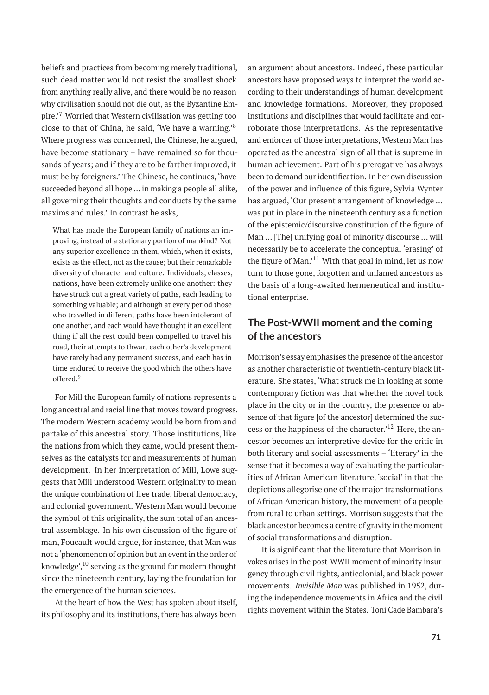beliefs and practices from becoming merely traditional, such dead matter would not resist the smallest shock from anything really alive, and there would be no reason why civilisation should not die out, as the Byzantine Empire.'<sup>7</sup> Worried that Western civilisation was getting too close to that of China, he said, 'We have a warning.'<sup>8</sup> Where progress was concerned, the Chinese, he argued, have become stationary – have remained so for thousands of years; and if they are to be farther improved, it must be by foreigners.' The Chinese, he continues, 'have succeeded beyond all hope … in making a people all alike, all governing their thoughts and conducts by the same maxims and rules.' In contrast he asks,

What has made the European family of nations an improving, instead of a stationary portion of mankind? Not any superior excellence in them, which, when it exists, exists as the effect, not as the cause; but their remarkable diversity of character and culture. Individuals, classes, nations, have been extremely unlike one another: they have struck out a great variety of paths, each leading to something valuable; and although at every period those who travelled in different paths have been intolerant of one another, and each would have thought it an excellent thing if all the rest could been compelled to travel his road, their attempts to thwart each other's development have rarely had any permanent success, and each has in time endured to receive the good which the others have offered.<sup>9</sup>

For Mill the European family of nations represents a long ancestral and racial line that moves toward progress. The modern Western academy would be born from and partake of this ancestral story. Those institutions, like the nations from which they came, would present themselves as the catalysts for and measurements of human development. In her interpretation of Mill, Lowe suggests that Mill understood Western originality to mean the unique combination of free trade, liberal democracy, and colonial government. Western Man would become the symbol of this originality, the sum total of an ancestral assemblage. In his own discussion of the figure of man, Foucault would argue, for instance, that Man was not a'phenomenon of opinion but an event in the order of knowledge', $^{10}$  serving as the ground for modern thought since the nineteenth century, laying the foundation for the emergence of the human sciences.

At the heart of how the West has spoken about itself, its philosophy and its institutions, there has always been an argument about ancestors. Indeed, these particular ancestors have proposed ways to interpret the world according to their understandings of human development and knowledge formations. Moreover, they proposed institutions and disciplines that would facilitate and corroborate those interpretations. As the representative and enforcer of those interpretations, Western Man has operated as the ancestral sign of all that is supreme in human achievement. Part of his prerogative has always been to demand our identification. In her own discussion of the power and influence of this figure, Sylvia Wynter has argued, 'Our present arrangement of knowledge … was put in place in the nineteenth century as a function of the epistemic/discursive constitution of the figure of Man … [The] unifying goal of minority discourse … will necessarily be to accelerate the conceptual 'erasing' of the figure of Man.'<sup>11</sup> With that goal in mind, let us now turn to those gone, forgotten and unfamed ancestors as the basis of a long-awaited hermeneutical and institutional enterprise.

### **The Post-WWII moment and the coming of the ancestors**

Morrison's essay emphasises the presence of the ancestor as another characteristic of twentieth-century black literature. She states, 'What struck me in looking at some contemporary fiction was that whether the novel took place in the city or in the country, the presence or absence of that figure [of the ancestor] determined the success or the happiness of the character.'<sup>12</sup> Here, the ancestor becomes an interpretive device for the critic in both literary and social assessments – 'literary' in the sense that it becomes a way of evaluating the particularities of African American literature, 'social' in that the depictions allegorise one of the major transformations of African American history, the movement of a people from rural to urban settings. Morrison suggests that the black ancestor becomes a centre of gravity in the moment of social transformations and disruption.

It is significant that the literature that Morrison invokes arises in the post-WWII moment of minority insurgency through civil rights, anticolonial, and black power movements. *Invisible Man* was published in 1952, during the independence movements in Africa and the civil rights movement within the States. Toni Cade Bambara's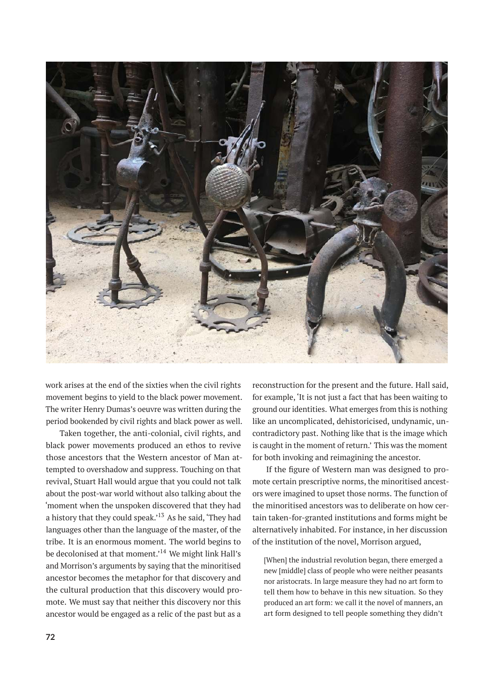

work arises at the end of the sixties when the civil rights movement begins to yield to the black power movement. The writer Henry Dumas's oeuvre was written during the period bookended by civil rights and black power as well.

Taken together, the anti-colonial, civil rights, and black power movements produced an ethos to revive those ancestors that the Western ancestor of Man attempted to overshadow and suppress. Touching on that revival, Stuart Hall would argue that you could not talk about the post-war world without also talking about the 'moment when the unspoken discovered that they had a history that they could speak.<sup> $13$ </sup> As he said, 'They had languages other than the language of the master, of the tribe. It is an enormous moment. The world begins to be decolonised at that moment.'<sup>14</sup> We might link Hall's and Morrison's arguments by saying that the minoritised ancestor becomes the metaphor for that discovery and the cultural production that this discovery would promote. We must say that neither this discovery nor this ancestor would be engaged as a relic of the past but as a

reconstruction for the present and the future. Hall said, for example, 'It is not just a fact that has been waiting to ground our identities. What emerges from this is nothing like an uncomplicated, dehistoricised, undynamic, uncontradictory past. Nothing like that is the image which is caught in the moment of return.' This was the moment for both invoking and reimagining the ancestor.

If the figure of Western man was designed to promote certain prescriptive norms, the minoritised ancestors were imagined to upset those norms. The function of the minoritised ancestors was to deliberate on how certain taken-for-granted institutions and forms might be alternatively inhabited. For instance, in her discussion of the institution of the novel, Morrison argued,

[When] the industrial revolution began, there emerged a new [middle] class of people who were neither peasants nor aristocrats. In large measure they had no art form to tell them how to behave in this new situation. So they produced an art form: we call it the novel of manners, an art form designed to tell people something they didn't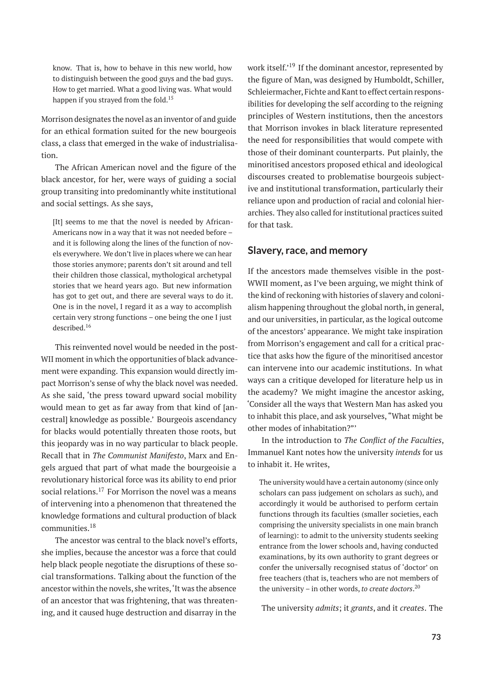know. That is, how to behave in this new world, how to distinguish between the good guys and the bad guys. How to get married. What a good living was. What would happen if you strayed from the fold.<sup>15</sup>

Morrison designates the novel as an inventor of and guide for an ethical formation suited for the new bourgeois class, a class that emerged in the wake of industrialisation.

The African American novel and the figure of the black ancestor, for her, were ways of guiding a social group transiting into predominantly white institutional and social settings. As she says,

[It] seems to me that the novel is needed by African-Americans now in a way that it was not needed before – and it is following along the lines of the function of novels everywhere. We don't live in places where we can hear those stories anymore; parents don't sit around and tell their children those classical, mythological archetypal stories that we heard years ago. But new information has got to get out, and there are several ways to do it. One is in the novel, I regard it as a way to accomplish certain very strong functions – one being the one I just described.<sup>16</sup>

This reinvented novel would be needed in the post-WII moment in which the opportunities of black advancement were expanding. This expansion would directly impact Morrison's sense of why the black novel was needed. As she said, 'the press toward upward social mobility would mean to get as far away from that kind of [ancestral] knowledge as possible.' Bourgeois ascendancy for blacks would potentially threaten those roots, but this jeopardy was in no way particular to black people. Recall that in *The Communist Manifesto*, Marx and Engels argued that part of what made the bourgeoisie a revolutionary historical force was its ability to end prior social relations.<sup>17</sup> For Morrison the novel was a means of intervening into a phenomenon that threatened the knowledge formations and cultural production of black communities.<sup>18</sup>

The ancestor was central to the black novel's efforts, she implies, because the ancestor was a force that could help black people negotiate the disruptions of these social transformations. Talking about the function of the ancestor within the novels, she writes,'It was the absence of an ancestor that was frightening, that was threatening, and it caused huge destruction and disarray in the

work itself.<sup>'19</sup> If the dominant ancestor, represented by the figure of Man, was designed by Humboldt, Schiller, Schleiermacher, Fichte and Kant to effect certain responsibilities for developing the self according to the reigning principles of Western institutions, then the ancestors that Morrison invokes in black literature represented the need for responsibilities that would compete with those of their dominant counterparts. Put plainly, the minoritised ancestors proposed ethical and ideological discourses created to problematise bourgeois subjective and institutional transformation, particularly their reliance upon and production of racial and colonial hierarchies. They also called for institutional practices suited for that task.

#### **Slavery, race, and memory**

If the ancestors made themselves visible in the post-WWII moment, as I've been arguing, we might think of the kind of reckoning with histories of slavery and colonialism happening throughout the global north, in general, and our universities, in particular, as the logical outcome of the ancestors' appearance. We might take inspiration from Morrison's engagement and call for a critical practice that asks how the figure of the minoritised ancestor can intervene into our academic institutions. In what ways can a critique developed for literature help us in the academy? We might imagine the ancestor asking, 'Consider all the ways that Western Man has asked you to inhabit this place, and ask yourselves, "What might be other modes of inhabitation?"'

In the introduction to *The Conflict of the Faculties*, Immanuel Kant notes how the university *intends* for us to inhabit it. He writes,

The university would have a certain autonomy (since only scholars can pass judgement on scholars as such), and accordingly it would be authorised to perform certain functions through its faculties (smaller societies, each comprising the university specialists in one main branch of learning): to admit to the university students seeking entrance from the lower schools and, having conducted examinations, by its own authority to grant degrees or confer the universally recognised status of 'doctor' on free teachers (that is, teachers who are not members of the university – in other words, *to create doctors*. 20

The university *admits*; it *grants*, and it *creates*. The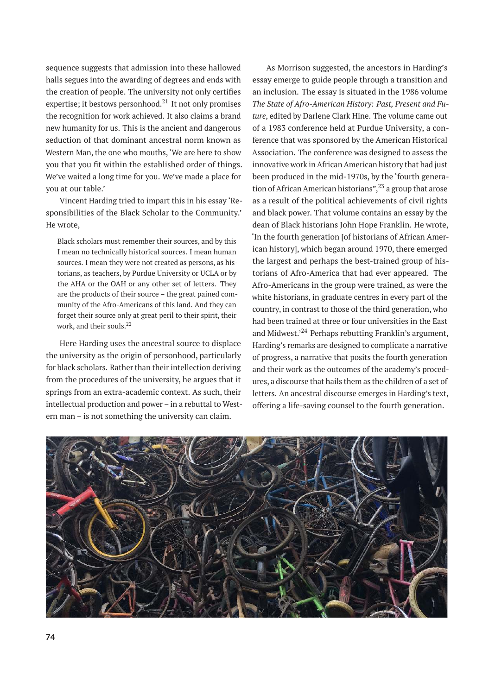sequence suggests that admission into these hallowed halls segues into the awarding of degrees and ends with the creation of people. The university not only certifies expertise; it bestows personhood.<sup>21</sup> It not only promises the recognition for work achieved. It also claims a brand new humanity for us. This is the ancient and dangerous seduction of that dominant ancestral norm known as Western Man, the one who mouths, 'We are here to show you that you fit within the established order of things. We've waited a long time for you. We've made a place for you at our table.'

Vincent Harding tried to impart this in his essay 'Responsibilities of the Black Scholar to the Community.' He wrote,

Black scholars must remember their sources, and by this I mean no technically historical sources. I mean human sources. I mean they were not created as persons, as historians, as teachers, by Purdue University or UCLA or by the AHA or the OAH or any other set of letters. They are the products of their source – the great pained community of the Afro-Americans of this land. And they can forget their source only at great peril to their spirit, their work, and their souls.<sup>22</sup>

Here Harding uses the ancestral source to displace the university as the origin of personhood, particularly for black scholars. Rather than their intellection deriving from the procedures of the university, he argues that it springs from an extra-academic context. As such, their intellectual production and power – in a rebuttal to Western man – is not something the university can claim.

As Morrison suggested, the ancestors in Harding's essay emerge to guide people through a transition and an inclusion. The essay is situated in the 1986 volume *The State of Afro-American History: Past, Present and Future*, edited by Darlene Clark Hine. The volume came out of a 1983 conference held at Purdue University, a conference that was sponsored by the American Historical Association. The conference was designed to assess the innovative work in African American history that had just been produced in the mid-1970s, by the 'fourth generation of African American historians",  $2<sup>3</sup>$  a group that arose as a result of the political achievements of civil rights and black power. That volume contains an essay by the dean of Black historians John Hope Franklin. He wrote, 'In the fourth generation [of historians of African American history], which began around 1970, there emerged the largest and perhaps the best-trained group of historians of Afro-America that had ever appeared. The Afro-Americans in the group were trained, as were the white historians, in graduate centres in every part of the country, in contrast to those of the third generation, who had been trained at three or four universities in the East and Midwest.<sup>24</sup> Perhaps rebutting Franklin's argument, Harding's remarks are designed to complicate a narrative of progress, a narrative that posits the fourth generation and their work as the outcomes of the academy's procedures, a discourse that hails them as the children of a set of letters. An ancestral discourse emerges in Harding's text, offering a life-saving counsel to the fourth generation.

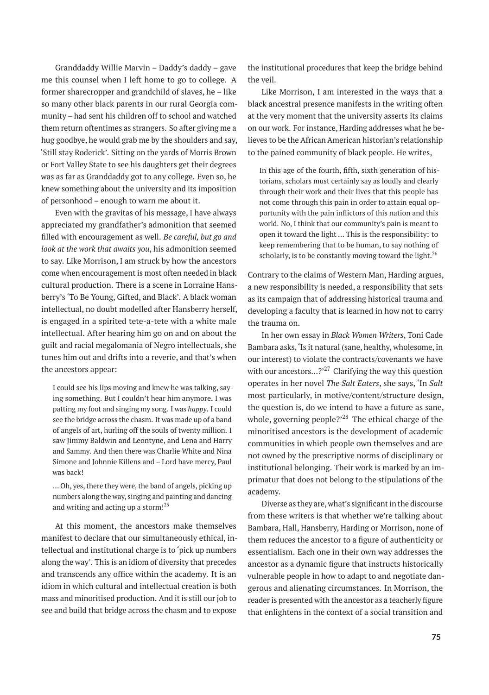Granddaddy Willie Marvin – Daddy's daddy – gave me this counsel when I left home to go to college. A former sharecropper and grandchild of slaves, he – like so many other black parents in our rural Georgia community – had sent his children off to school and watched them return oftentimes as strangers. So after giving me a hug goodbye, he would grab me by the shoulders and say, 'Still stay Roderick'. Sitting on the yards of Morris Brown or Fort Valley State to see his daughters get their degrees was as far as Granddaddy got to any college. Even so, he knew something about the university and its imposition of personhood – enough to warn me about it.

Even with the gravitas of his message, I have always appreciated my grandfather's admonition that seemed filled with encouragement as well. *Be careful, but go and look at the work that awaits you*, his admonition seemed to say. Like Morrison, I am struck by how the ancestors come when encouragement is most often needed in black cultural production. There is a scene in Lorraine Hansberry's 'To Be Young, Gifted, and Black'. A black woman intellectual, no doubt modelled after Hansberry herself, is engaged in a spirited tete-a-tete with a white male intellectual. After hearing him go on and on about the guilt and racial megalomania of Negro intellectuals, she tunes him out and drifts into a reverie, and that's when the ancestors appear:

I could see his lips moving and knew he was talking, saying something. But I couldn't hear him anymore. I was patting my foot and singing my song. I was *happy*. I could see the bridge across the chasm. It was made up of a band of angels of art, hurling off the souls of twenty million. I saw Jimmy Baldwin and Leontyne, and Lena and Harry and Sammy. And then there was Charlie White and Nina Simone and Johnnie Killens and – Lord have mercy, Paul was back!

… Oh, yes, there they were, the band of angels, picking up numbers along the way, singing and painting and dancing and writing and acting up a storm! $^{25}$ 

At this moment, the ancestors make themselves manifest to declare that our simultaneously ethical, intellectual and institutional charge is to 'pick up numbers along the way'. This is an idiom of diversity that precedes and transcends any office within the academy. It is an idiom in which cultural and intellectual creation is both mass and minoritised production. And it is still our job to see and build that bridge across the chasm and to expose the institutional procedures that keep the bridge behind the veil.

Like Morrison, I am interested in the ways that a black ancestral presence manifests in the writing often at the very moment that the university asserts its claims on our work. For instance, Harding addresses what he believes to be the African American historian's relationship to the pained community of black people. He writes,

In this age of the fourth, fifth, sixth generation of historians, scholars must certainly say as loudly and clearly through their work and their lives that this people has not come through this pain in order to attain equal opportunity with the pain inflictors of this nation and this world. No, I think that our community's pain is meant to open it toward the light … This is the responsibility: to keep remembering that to be human, to say nothing of scholarly, is to be constantly moving toward the light.<sup>26</sup>

Contrary to the claims of Western Man, Harding argues, a new responsibility is needed, a responsibility that sets as its campaign that of addressing historical trauma and developing a faculty that is learned in how not to carry the trauma on.

In her own essay in *Black Women Writers*, Toni Cade Bambara asks,'Is it natural (sane, healthy, wholesome, in our interest) to violate the contracts/covenants we have with our ancestors...? $^{27}$  Clarifying the way this question operates in her novel *The Salt Eaters*, she says, 'In *Salt* most particularly, in motive/content/structure design, the question is, do we intend to have a future as sane, whole, governing people?'<sup>28</sup> The ethical charge of the minoritised ancestors is the development of academic communities in which people own themselves and are not owned by the prescriptive norms of disciplinary or institutional belonging. Their work is marked by an imprimatur that does not belong to the stipulations of the academy.

Diverse as they are, what's significant in the discourse from these writers is that whether we're talking about Bambara, Hall, Hansberry, Harding or Morrison, none of them reduces the ancestor to a figure of authenticity or essentialism. Each one in their own way addresses the ancestor as a dynamic figure that instructs historically vulnerable people in how to adapt to and negotiate dangerous and alienating circumstances. In Morrison, the reader is presented with the ancestor as a teacherly figure that enlightens in the context of a social transition and